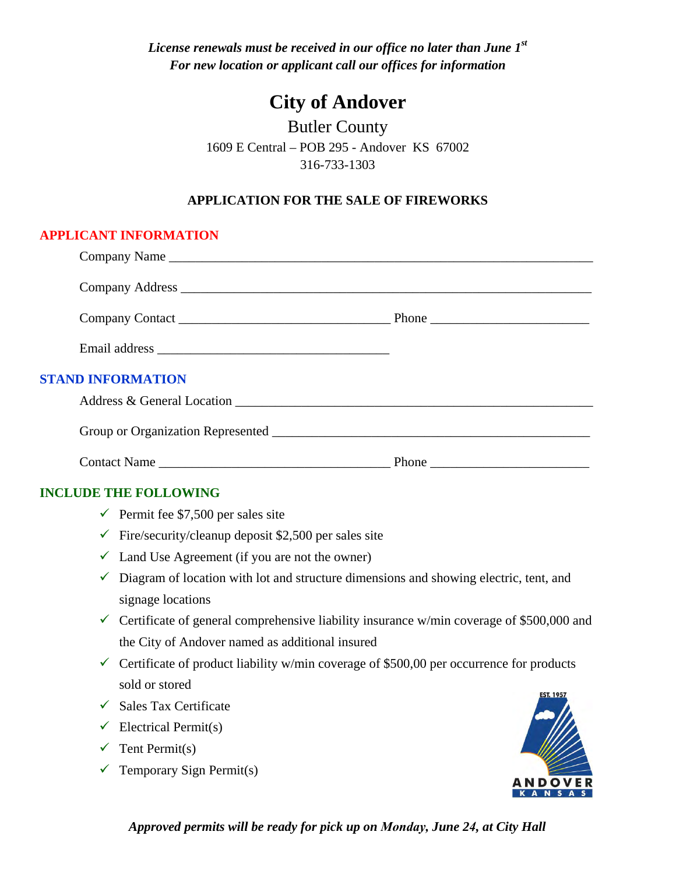*License renewals must be received in our office no later than June 1st For new location or applicant call our offices for information* 

# **City of Andover**

Butler County 1609 E Central – POB 295 - Andover KS 67002 316-733-1303

### **APPLICATION FOR THE SALE OF FIREWORKS**

### **APPLICANT INFORMATION**

|              | <b>STAND INFORMATION</b>                                                                                   |  |
|--------------|------------------------------------------------------------------------------------------------------------|--|
|              |                                                                                                            |  |
|              |                                                                                                            |  |
|              |                                                                                                            |  |
|              | <b>INCLUDE THE FOLLOWING</b>                                                                               |  |
|              | Permit fee $$7,500$ per sales site                                                                         |  |
|              | $\checkmark$ Fire/security/cleanup deposit \$2,500 per sales site                                          |  |
|              | $\checkmark$ Land Use Agreement (if you are not the owner)                                                 |  |
| $\checkmark$ | Diagram of location with lot and structure dimensions and showing electric, tent, and<br>signage locations |  |
|              | $\checkmark$ Certificate of general comprehensive liability insurance w/min coverage of \$500,000 and      |  |
|              | the City of Andover named as additional insured                                                            |  |
|              | $\checkmark$ Certificate of product liability w/min coverage of \$500,00 per occurrence for products       |  |
|              | sold or stored                                                                                             |  |
|              | $\checkmark$ Sales Tax Certificate                                                                         |  |
|              | $\checkmark$ Electrical Permit(s)                                                                          |  |
|              | $\checkmark$ Tent Permit(s)                                                                                |  |
| ✓            | Temporary Sign Permit(s)                                                                                   |  |
|              |                                                                                                            |  |

*Approved permits will be ready for pick up on Monday, June 24, at City Hall*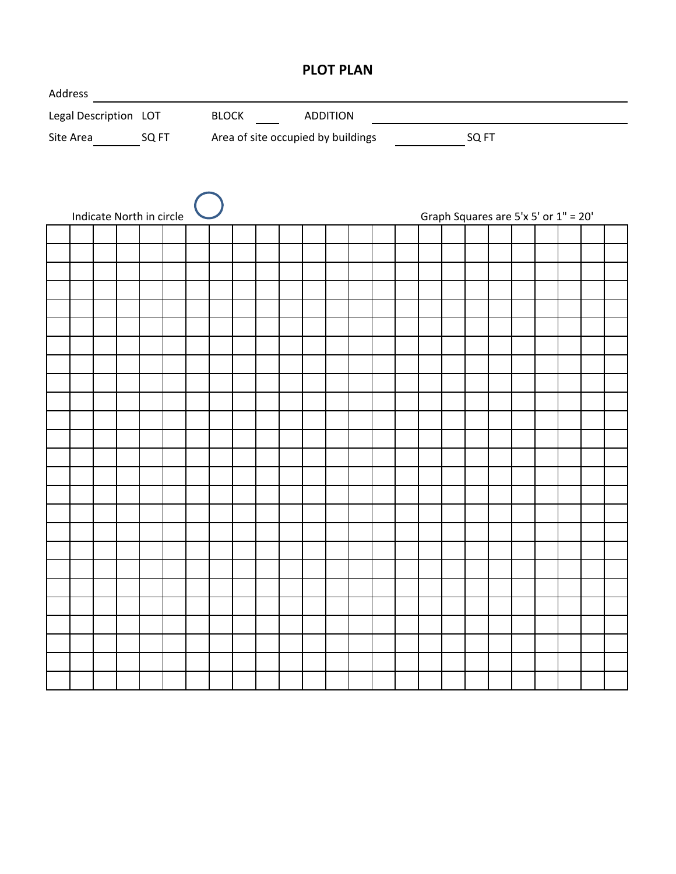### **PLOT PLAN**

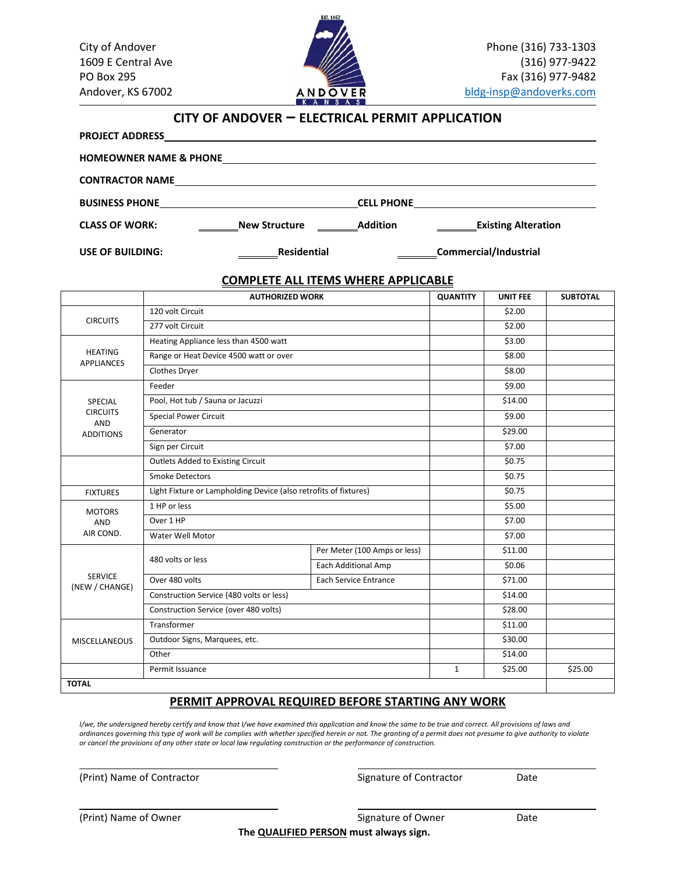

### **CITY OF ANDOVER – ELECTRICAL PERMIT APPLICATION**

**PROJECT ADDRESS**

| <b>CONTRACTOR NAME</b> | <u> 1989 - Johann Harry Harry Harry Harry Harry Harry Harry Harry Harry Harry Harry Harry Harry Harry Harry Harry</u> |                 |                            |
|------------------------|-----------------------------------------------------------------------------------------------------------------------|-----------------|----------------------------|
|                        |                                                                                                                       |                 |                            |
| <b>CLASS OF WORK:</b>  | <b>New Structure</b>                                                                                                  | <b>Addition</b> | <b>Existing Alteration</b> |
| USE OF BUILDING:       | Residential                                                                                                           |                 | Commercial/Industrial      |

#### **COMPLETE ALL ITEMS WHERE APPLICABLE**

|                                     | <b>AUTHORIZED WORK</b>                                           |                              | <b>QUANTITY</b> | <b>UNIT FEE</b> | <b>SUBTOTAL</b> |
|-------------------------------------|------------------------------------------------------------------|------------------------------|-----------------|-----------------|-----------------|
|                                     | 120 volt Circuit                                                 |                              | \$2.00          |                 |                 |
| <b>CIRCUITS</b>                     | 277 volt Circuit                                                 |                              |                 | \$2.00          |                 |
| <b>HEATING</b><br><b>APPLIANCES</b> | Heating Appliance less than 4500 watt                            |                              |                 | \$3.00          |                 |
|                                     | Range or Heat Device 4500 watt or over                           |                              |                 | \$8.00          |                 |
|                                     | Clothes Dryer                                                    |                              |                 | \$8.00          |                 |
| SPECIAL                             | Feeder                                                           |                              |                 | \$9.00          |                 |
|                                     | Pool, Hot tub / Sauna or Jacuzzi                                 |                              | \$14.00         |                 |                 |
| <b>CIRCUITS</b><br><b>AND</b>       | <b>Special Power Circuit</b>                                     |                              |                 | \$9.00          |                 |
| <b>ADDITIONS</b>                    | Generator                                                        |                              |                 | \$29.00         |                 |
|                                     | Sign per Circuit                                                 |                              |                 | \$7.00          |                 |
|                                     | Outlets Added to Existing Circuit                                |                              |                 | \$0.75          |                 |
|                                     | <b>Smoke Detectors</b>                                           |                              |                 | \$0.75          |                 |
| <b>FIXTURES</b>                     | Light Fixture or Lampholding Device (also retrofits of fixtures) |                              |                 | \$0.75          |                 |
| <b>MOTORS</b>                       | 1 HP or less                                                     |                              |                 | \$5.00          |                 |
| <b>AND</b>                          | Over 1 HP                                                        |                              |                 | \$7.00          |                 |
| AIR COND.                           | Water Well Motor                                                 |                              |                 | \$7.00          |                 |
|                                     | 480 volts or less                                                | Per Meter (100 Amps or less) |                 | \$11.00         |                 |
|                                     |                                                                  | Each Additional Amp          |                 | \$0.06          |                 |
| <b>SERVICE</b><br>(NEW / CHANGE)    | Over 480 volts                                                   | <b>Each Service Entrance</b> |                 | \$71.00         |                 |
|                                     | Construction Service (480 volts or less)                         |                              |                 | \$14.00         |                 |
|                                     | Construction Service (over 480 volts)                            |                              |                 | \$28.00         |                 |
|                                     | Transformer                                                      |                              |                 | \$11.00         |                 |
| <b>MISCELLANEOUS</b>                | Outdoor Signs, Marquees, etc.                                    |                              |                 | \$30.00         |                 |
|                                     | Other                                                            |                              |                 | \$14.00         |                 |
|                                     | Permit Issuance                                                  |                              | $\mathbf{1}$    | \$25.00         | \$25.00         |

#### **PERMIT APPROVAL REQUIRED BEFORE STARTING ANY WORK**

*I/we, the undersigned hereby certify and know that I/we have examined this application and know the same to be true and correct. All provisions of laws and ordinances governing this type of work will be complies with whether specified herein or not. The granting of a permit does not presume to give authority to violate or cancel the provisions of any other state or local law regulating construction or the performance of construction.*

(Print) Name of Contractor Contractor Contractor Contractor Date

(Print) Name of Owner Case Communication of Owner Signature of Owner Date

**The QUALIFIED PERSON must always sign.**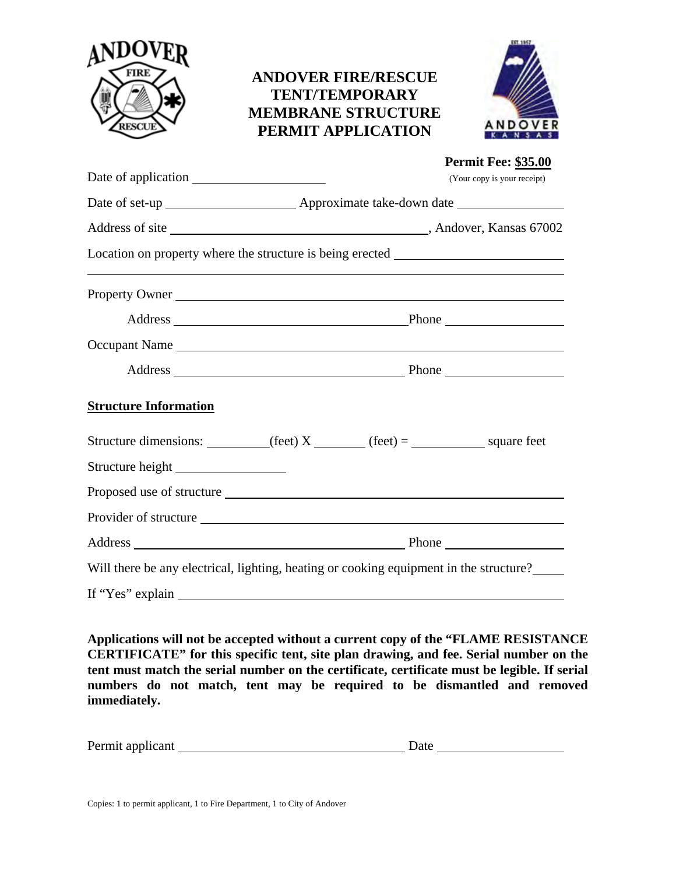

## **ANDOVER FIRE/RESCUE TENT/TEMPORARY MEMBRANE STRUCTURE PERMIT APPLICATION**



|                                                                                                                                                                                                                                                                                                                                                                                                      | <b>Permit Fee: \$35.00</b><br>(Your copy is your receipt)                              |
|------------------------------------------------------------------------------------------------------------------------------------------------------------------------------------------------------------------------------------------------------------------------------------------------------------------------------------------------------------------------------------------------------|----------------------------------------------------------------------------------------|
|                                                                                                                                                                                                                                                                                                                                                                                                      |                                                                                        |
|                                                                                                                                                                                                                                                                                                                                                                                                      |                                                                                        |
|                                                                                                                                                                                                                                                                                                                                                                                                      | Location on property where the structure is being erected _______________________      |
| Property Owner                                                                                                                                                                                                                                                                                                                                                                                       |                                                                                        |
|                                                                                                                                                                                                                                                                                                                                                                                                      |                                                                                        |
|                                                                                                                                                                                                                                                                                                                                                                                                      | Occupant Name                                                                          |
|                                                                                                                                                                                                                                                                                                                                                                                                      |                                                                                        |
| <b>Structure Information</b>                                                                                                                                                                                                                                                                                                                                                                         |                                                                                        |
|                                                                                                                                                                                                                                                                                                                                                                                                      |                                                                                        |
|                                                                                                                                                                                                                                                                                                                                                                                                      |                                                                                        |
|                                                                                                                                                                                                                                                                                                                                                                                                      |                                                                                        |
|                                                                                                                                                                                                                                                                                                                                                                                                      |                                                                                        |
|                                                                                                                                                                                                                                                                                                                                                                                                      |                                                                                        |
|                                                                                                                                                                                                                                                                                                                                                                                                      | Will there be any electrical, lighting, heating or cooking equipment in the structure? |
| If "Yes" explain $\frac{1}{\sqrt{1-\frac{1}{2}}\sqrt{1-\frac{1}{2}}\sqrt{1-\frac{1}{2}}\sqrt{1-\frac{1}{2}}\sqrt{1-\frac{1}{2}}\sqrt{1-\frac{1}{2}}\sqrt{1-\frac{1}{2}}\sqrt{1-\frac{1}{2}}\sqrt{1-\frac{1}{2}}\sqrt{1-\frac{1}{2}}\sqrt{1-\frac{1}{2}}\sqrt{1-\frac{1}{2}}\sqrt{1-\frac{1}{2}}\sqrt{1-\frac{1}{2}}\sqrt{1-\frac{1}{2}}\sqrt{1-\frac{1}{2}}\sqrt{1-\frac{1}{2}}\sqrt{1-\frac{1}{2}}$ |                                                                                        |

**Applications will not be accepted without a current copy of the "FLAME RESISTANCE CERTIFICATE" for this specific tent, site plan drawing, and fee. Serial number on the tent must match the serial number on the certificate, certificate must be legible. If serial numbers do not match, tent may be required to be dismantled and removed immediately.** 

| Permit applicant<br>Date |
|--------------------------|
|--------------------------|